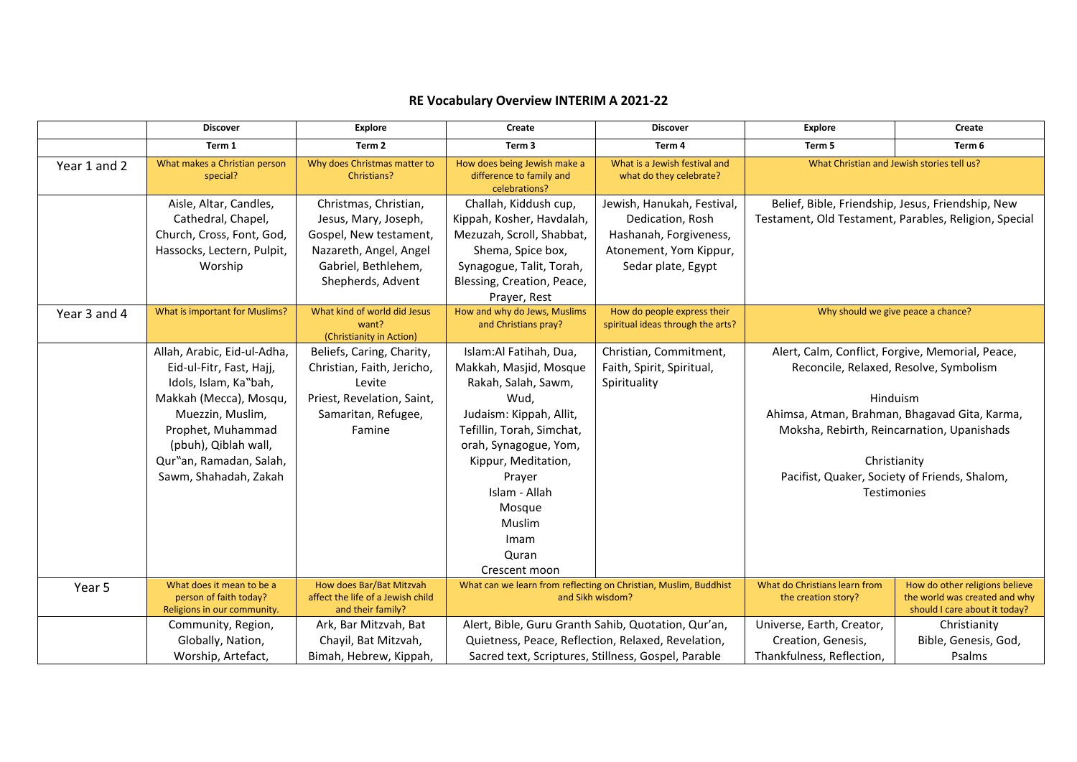|              | <b>Discover</b>                                                                                                                                                                                                                 | <b>Explore</b>                                                                                                                                | Create                                                                                                                                                                                                                                                                   | <b>Discover</b>                                                                                                          | <b>Explore</b>                                                                                                                                                                                                                                                                        | Create                                                                                           |
|--------------|---------------------------------------------------------------------------------------------------------------------------------------------------------------------------------------------------------------------------------|-----------------------------------------------------------------------------------------------------------------------------------------------|--------------------------------------------------------------------------------------------------------------------------------------------------------------------------------------------------------------------------------------------------------------------------|--------------------------------------------------------------------------------------------------------------------------|---------------------------------------------------------------------------------------------------------------------------------------------------------------------------------------------------------------------------------------------------------------------------------------|--------------------------------------------------------------------------------------------------|
|              | Term 1                                                                                                                                                                                                                          | Term 2                                                                                                                                        | Term <sub>3</sub>                                                                                                                                                                                                                                                        | Term 4                                                                                                                   | Term 5                                                                                                                                                                                                                                                                                | Term 6                                                                                           |
| Year 1 and 2 | What makes a Christian person<br>special?                                                                                                                                                                                       | Why does Christmas matter to<br>Christians?                                                                                                   | How does being Jewish make a<br>difference to family and<br>celebrations?                                                                                                                                                                                                | What is a Jewish festival and<br>what do they celebrate?                                                                 | What Christian and Jewish stories tell us?                                                                                                                                                                                                                                            |                                                                                                  |
|              | Aisle, Altar, Candles,<br>Cathedral, Chapel,<br>Church, Cross, Font, God,<br>Hassocks, Lectern, Pulpit,<br>Worship                                                                                                              | Christmas, Christian,<br>Jesus, Mary, Joseph,<br>Gospel, New testament,<br>Nazareth, Angel, Angel<br>Gabriel, Bethlehem,<br>Shepherds, Advent | Challah, Kiddush cup,<br>Kippah, Kosher, Havdalah,<br>Mezuzah, Scroll, Shabbat,<br>Shema, Spice box,<br>Synagogue, Talit, Torah,<br>Blessing, Creation, Peace,<br>Prayer, Rest                                                                                           | Jewish, Hanukah, Festival,<br>Dedication, Rosh<br>Hashanah, Forgiveness,<br>Atonement, Yom Kippur,<br>Sedar plate, Egypt | Belief, Bible, Friendship, Jesus, Friendship, New<br>Testament, Old Testament, Parables, Religion, Special                                                                                                                                                                            |                                                                                                  |
| Year 3 and 4 | What is important for Muslims?                                                                                                                                                                                                  | What kind of world did Jesus<br>want?<br>(Christianity in Action)                                                                             | How and why do Jews, Muslims<br>and Christians pray?                                                                                                                                                                                                                     | How do people express their<br>spiritual ideas through the arts?                                                         | Why should we give peace a chance?                                                                                                                                                                                                                                                    |                                                                                                  |
|              | Allah, Arabic, Eid-ul-Adha,<br>Eid-ul-Fitr, Fast, Hajj,<br>Idols, Islam, Ka"bah,<br>Makkah (Mecca), Mosqu,<br>Muezzin, Muslim,<br>Prophet, Muhammad<br>(pbuh), Qiblah wall,<br>Qur"an, Ramadan, Salah,<br>Sawm, Shahadah, Zakah | Beliefs, Caring, Charity,<br>Christian, Faith, Jericho,<br>Levite<br>Priest, Revelation, Saint,<br>Samaritan, Refugee,<br>Famine              | Islam:Al Fatihah, Dua,<br>Makkah, Masjid, Mosque<br>Rakah, Salah, Sawm,<br>Wud,<br>Judaism: Kippah, Allit,<br>Tefillin, Torah, Simchat,<br>orah, Synagogue, Yom,<br>Kippur, Meditation,<br>Prayer<br>Islam - Allah<br>Mosque<br>Muslim<br>Imam<br>Quran<br>Crescent moon | Christian, Commitment,<br>Faith, Spirit, Spiritual,<br>Spirituality                                                      | Alert, Calm, Conflict, Forgive, Memorial, Peace,<br>Reconcile, Relaxed, Resolve, Symbolism<br>Hinduism<br>Ahimsa, Atman, Brahman, Bhagavad Gita, Karma,<br>Moksha, Rebirth, Reincarnation, Upanishads<br>Christianity<br>Pacifist, Quaker, Society of Friends, Shalom,<br>Testimonies |                                                                                                  |
| Year 5       | What does it mean to be a<br>person of faith today?<br>Religions in our community.                                                                                                                                              | How does Bar/Bat Mitzvah<br>affect the life of a Jewish child<br>and their family?                                                            | What can we learn from reflecting on Christian, Muslim, Buddhist<br>and Sikh wisdom?<br>Alert, Bible, Guru Granth Sahib, Quotation, Qur'an,<br>Quietness, Peace, Reflection, Relaxed, Revelation,<br>Sacred text, Scriptures, Stillness, Gospel, Parable                 |                                                                                                                          | What do Christians learn from<br>the creation story?                                                                                                                                                                                                                                  | How do other religions believe<br>the world was created and why<br>should I care about it today? |
|              | Community, Region,<br>Globally, Nation,<br>Worship, Artefact,                                                                                                                                                                   | Ark, Bar Mitzvah, Bat<br>Chayil, Bat Mitzvah,<br>Bimah, Hebrew, Kippah,                                                                       |                                                                                                                                                                                                                                                                          |                                                                                                                          | Universe, Earth, Creator,<br>Creation, Genesis,<br>Thankfulness, Reflection,                                                                                                                                                                                                          | Christianity<br>Bible, Genesis, God,<br>Psalms                                                   |

## **RE Vocabulary Overview INTERIM A 2021-22**